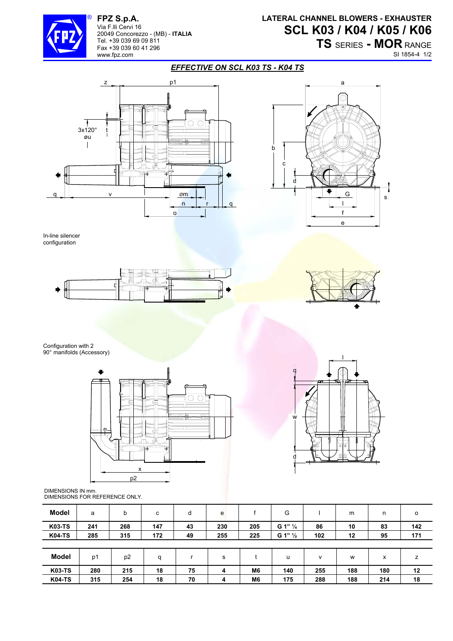

® **FPZ S.p.A.**  Via F.lli Cervi 16 20049 Concorezzo - (MB) - **ITALIA** Tel. +39 039 69 09 811 Fax +39 039 60 41 296 www.fpz.com

## **LATERAL CHANNEL BLOWERS - EXHAUSTER SCL K03 / K04 / K05 / K06**

**TS** SERIES **- MOR** RANGE SI 1854-4 1/2

## *EFFECTIVE ON SCL K03 TS - K04 TS*





In-line silencer configuration





Configuration with 2 90° manifolds (Accessory)





DIMENSIONS IN mm. DIMENSIONS FOR REFERENCE ONLY.

| Model         | a   | b              | с   | d  | e   |                | G                  |              | m   | n   | $\circ$ |
|---------------|-----|----------------|-----|----|-----|----------------|--------------------|--------------|-----|-----|---------|
| <b>K03-TS</b> | 241 | 268            | 147 | 43 | 230 | 205            | G 1" 1/4           | 86           | 10  | 83  | 142     |
| <b>K04-TS</b> | 285 | 315            | 172 | 49 | 255 | 225            | G 1" $\frac{1}{2}$ | 102          | 12  | 95  | 171     |
|               |     |                |     |    |     |                |                    |              |     |     |         |
| Model         | p1  | p <sub>2</sub> | q   |    | s   |                | u                  | $\mathsf{v}$ | W   | x   | z       |
| <b>K03-TS</b> | 280 | 215            | 18  | 75 | 4   | M <sub>6</sub> | 140                | 255          | 188 | 180 | 12      |
| <b>K04-TS</b> | 315 | 254            | 18  | 70 | 4   | M <sub>6</sub> | 175                | 288          | 188 | 214 | 18      |